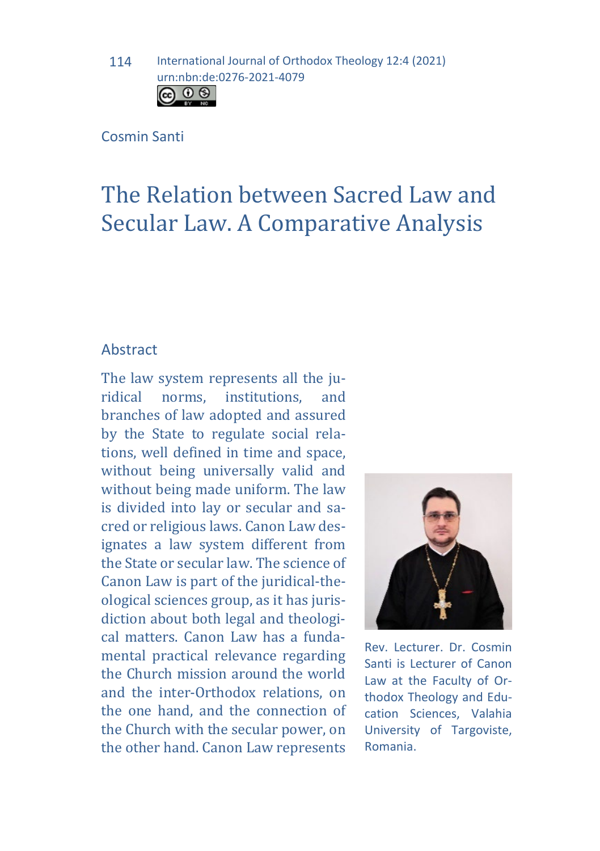#### Cosmin Santi

# The Relation between Sacred Law and Secular Law. A Comparative Analysis

### Abstract

The law system represents all the ju-<br>ridical norms, institutions, and ridical norms. branches of law adopted and assured by the State to regulate social relations, well defined in time and space, without being universally valid and without being made uniform. The law is divided into lay or secular and sacred or religious laws. Canon Law designates a law system different from the State or secular law. The science of Canon Law is part of the juridical-theological sciences group, as it has jurisdiction about both legal and theological matters. Canon Law has a fundamental practical relevance regarding the Church mission around the world and the inter-Orthodox relations, on the one hand, and the connection of the Church with the secular power, on the other hand. Canon Law represents



Rev. Lecturer. Dr. Cosmin Santi is Lecturer of Canon Law at the Faculty of Orthodox Theology and Education Sciences, Valahia University of Targoviste, Romania.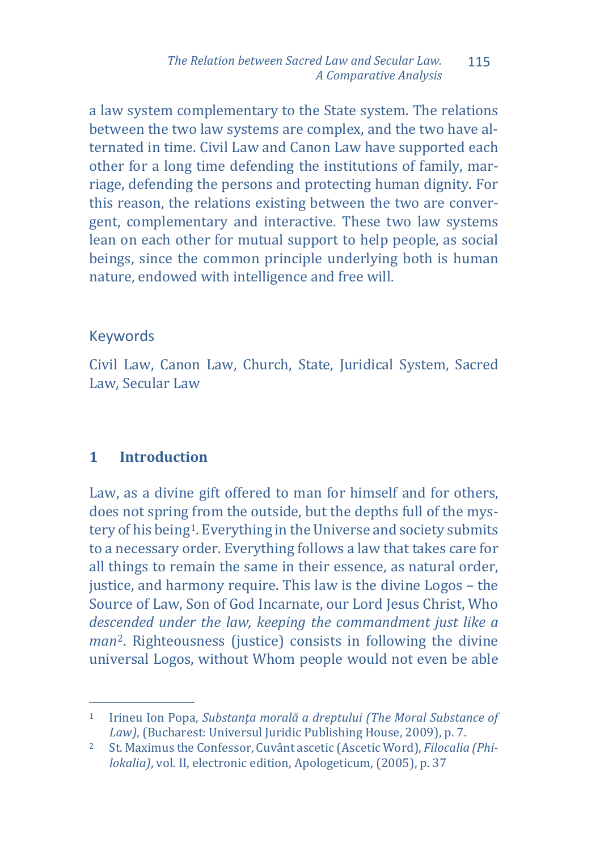a law system complementary to the State system. The relations between the two law systems are complex, and the two have alternated in time. Civil Law and Canon Law have supported each other for a long time defending the institutions of family, marriage, defending the persons and protecting human dignity. For this reason, the relations existing between the two are convergent, complementary and interactive. These two law systems lean on each other for mutual support to help people, as social beings, since the common principle underlying both is human nature, endowed with intelligence and free will.

#### Keywords

Civil Law, Canon Law, Church, State, Juridical System, Sacred Law, Secular Law

## **1 Introduction**

Law, as a divine gift offered to man for himself and for others, does not spring from the outside, but the depths full of the mystery of his being<sup>1</sup>. Everything in the Universe and society submits to a necessary order. Everything follows a law that takes care for all things to remain the same in their essence, as natural order, justice, and harmony require. This law is the divine Logos – the Source of Law, Son of God Incarnate, our Lord Jesus Christ, Who *desc[e](#page-1-1)nded under the law, keeping the commandment just like a man*<sup>2</sup>. Righteousness (justice) consists in following the divine universal Logos, without Whom people would not even be able

<span id="page-1-0"></span>j <sup>1</sup> Irineu Ion Popa, *Substanța morală a dreptului (The Moral Substance of Law)*, (Bucharest: Universul Juridic Publishing House, 2009), p. 7.

<span id="page-1-1"></span><sup>2</sup> St. Maximus the Confessor, Cuvânt ascetic (Ascetic Word), *Filocalia (Philokalia)*, vol. II, electronic edition, Apologeticum, (2005), p. 37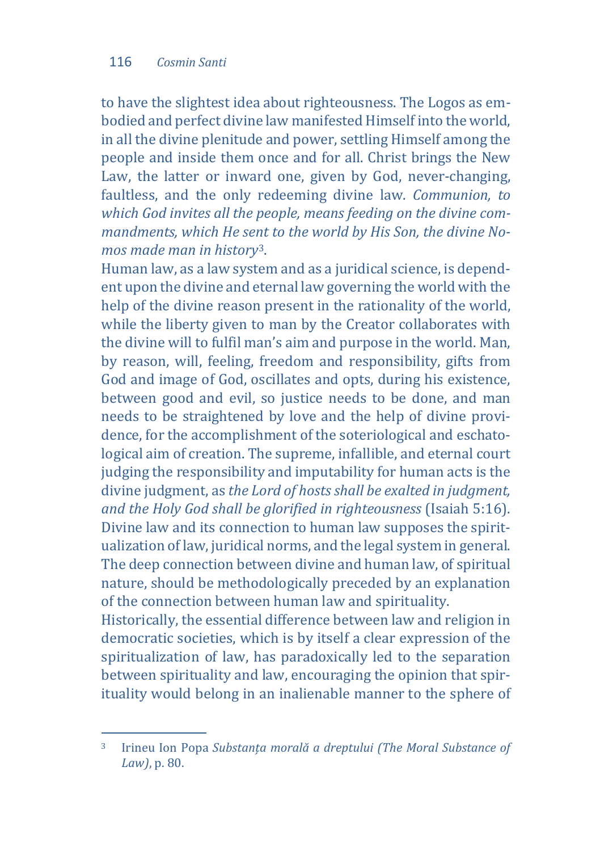to have the slightest idea about righteousness. The Logos as embodied and perfect divine law manifested Himself into the world, in all the divine plenitude and power, settling Himself among the people and inside them once and for all. Christ brings the New Law, the latter or inward one, given by God, never-changing, faultless, and the only redeeming divine law. *Communion, to which God invites all the people, means feeding on the divine commandments, which He sent to the world by His Son, the divine Nomos made man in history*[3.](#page-2-0)

Human law, as a law system and as a juridical science, is dependent upon the divine and eternal law governing the world with the help of the divine reason present in the rationality of the world, while the liberty given to man by the Creator collaborates with the divine will to fulfil man's aim and purpose in the world. Man, by reason, will, feeling, freedom and responsibility, gifts from God and image of God, oscillates and opts, during his existence, between good and evil, so justice needs to be done, and man needs to be straightened by love and the help of divine providence, for the accomplishment of the soteriological and eschatological aim of creation. The supreme, infallible, and eternal court judging the responsibility and imputability for human acts is the divine judgment, as *the Lord of hosts shall be exalted in judgment, and the Holy God shall be glorified in righteousness* (Isaiah 5:16). Divine law and its connection to human law supposes the spiritualization of law, juridical norms, and the legal system in general. The deep connection between divine and human law, of spiritual nature, should be methodologically preceded by an explanation of the connection between human law and spirituality.

Historically, the essential difference between law and religion in democratic societies, which is by itself a clear expression of the spiritualization of law, has paradoxically led to the separation between spirituality and law, encouraging the opinion that spirituality would belong in an inalienable manner to the sphere of

<span id="page-2-0"></span><sup>3</sup> <sup>3</sup> Irineu Ion Popa *Substanța morală a dreptului (The Moral Substance of Law)*, p. 80.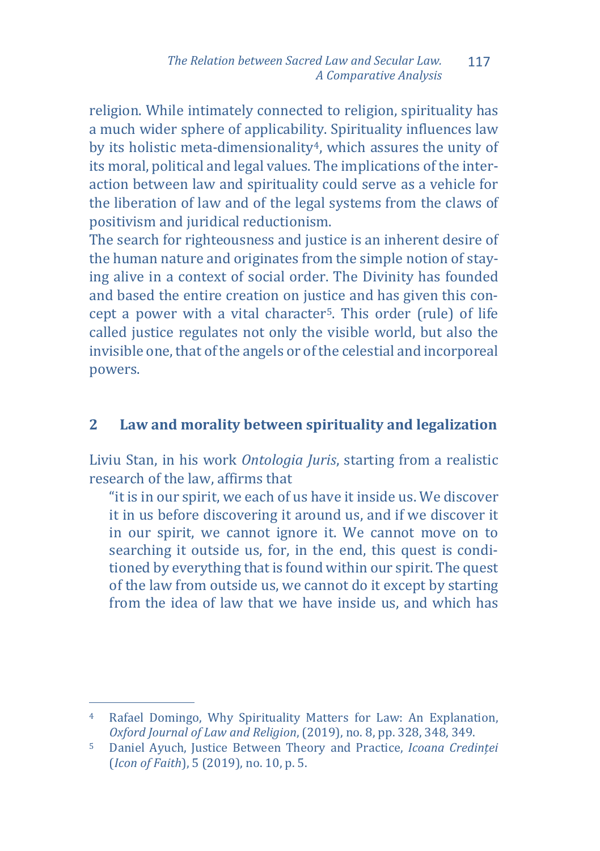religion. While intimately connected to religion, spirituality has a much wider sphere of applicability. Spirituality influences law by its holistic meta-dimensionality[4,](#page-3-0) which assures the unity of its moral, political and legal values. The implications of the interaction between law and spirituality could serve as a vehicle for the liberation of law and of the legal systems from the claws of positivism and juridical reductionism.

The search for righteousness and justice is an inherent desire of the human nature and originates from the simple notion of staying alive in a context of social order. The Divinity has founded and based the entire creation on justice and has given this concept a power with a vital character[5.](#page-3-1) This order (rule) of life called justice regulates not only the visible world, but also the invisible one, that of the angels or of the celestial and incorporeal powers.

# **2 Law and morality between spirituality and legalization**

Liviu Stan, in his work *Ontologia Juris*, starting from a realistic research of the law, affirms that

"it is in our spirit, we each of us have it inside us. We discover it in us before discovering it around us, and if we discover it in our spirit, we cannot ignore it. We cannot move on to searching it outside us, for, in the end, this quest is conditioned by everything that is found within our spirit. The quest of the law from outside us, we cannot do it except by starting from the idea of law that we have inside us, and which has

<span id="page-3-0"></span>j <sup>4</sup> Rafael Domingo, Why Spirituality Matters for Law: An Explanation, *Oxford Journal of Law and Religion*, (2019), no. 8, pp. 328, 348, 349.

<span id="page-3-1"></span><sup>5</sup> Daniel Ayuch, Justice Between Theory and Practice, *Icoana Credinței* (*Icon of Faith*), 5 (2019), no. 10, p. 5.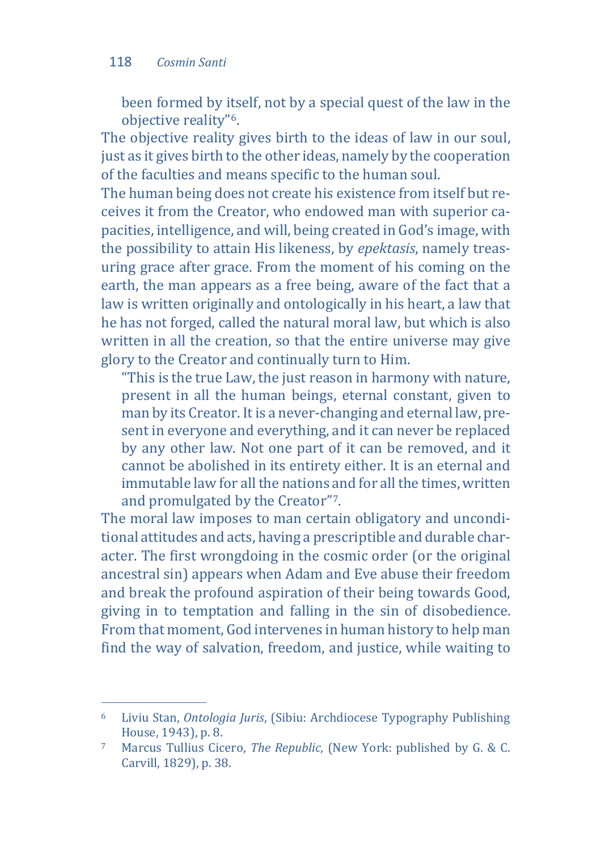been formed by itself, not by a special quest of the law in the objective reality"[6.](#page-4-0)

The objective reality gives birth to the ideas of law in our soul, just as it gives birth to the other ideas, namely by the cooperation of the faculties and means specific to the human soul.

The human being does not create his existence from itself but receives it from the Creator, who endowed man with superior capacities, intelligence, and will, being created in God's image, with the possibility to attain His likeness, by *epektasis*, namely treasuring grace after grace. From the moment of his coming on the earth, the man appears as a free being, aware of the fact that a law is written originally and ontologically in his heart, a law that he has not forged, called the natural moral law, but which is also written in all the creation, so that the entire universe may give glory to the Creator and continually turn to Him.

"This is the true Law, the just reason in harmony with nature, present in all the human beings, eternal constant, given to man by its Creator. It is a never-changing and eternal law, present in everyone and everything, and it can never be replaced by any other law. Not one part of it can be removed, and it cannot be abolished in its entirety either. It is an eternal and immutable law for all the nations and for all the times, written and promulgated by the Creator"[7.](#page-4-1)

The moral law imposes to man certain obligatory and unconditional attitudes and acts, having a prescriptible and durable character. The first wrongdoing in the cosmic order (or the original ancestral sin) appears when Adam and Eve abuse their freedom and break the profound aspiration of their being towards Good, giving in to temptation and falling in the sin of disobedience. From that moment, God intervenes in human history to help man find the way of salvation, freedom, and justice, while waiting to

<span id="page-4-0"></span>j <sup>6</sup> Liviu Stan, *Ontologia Juris*, (Sibiu: Archdiocese Typography Publishing House, 1943), p. 8.

<span id="page-4-1"></span><sup>7</sup> Marcus Tullius Cicero, *The Republic*, (New York: published by G. & C. Carvill, 1829), p. 38.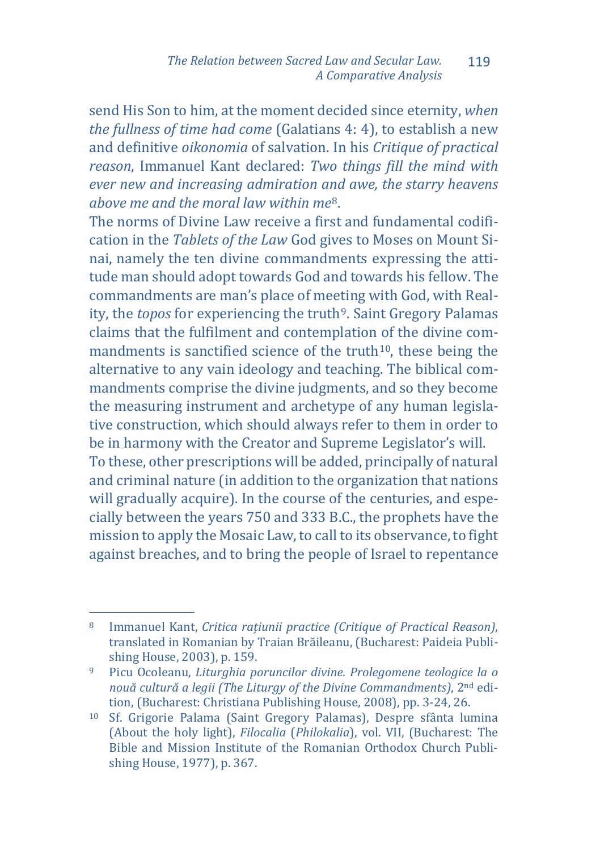send His Son to him, at the moment decided since eternity, *when the fullness of time had come* (Galatians 4: 4), to establish a new and definitive *oikonomia* of salvation. In his *Critique of practical reason*, Immanuel Kant declared: *Two things fill the mind with ever new and increasing admiration a[n](#page-5-0)d awe, the starry heavens above me and the moral law within me*8.

The norms of Divine Law receive a first and fundamental codification in the *Tablets of the Law* God gives to Moses on Mount Sinai, namely the ten divine commandments expressing the attitude man should adopt towards God and towards his fellow. The commandments are man's place of meeting with God, with Reality, the *topos* for experiencing the truth<sup>9</sup>, Saint Gregory Palamas claims that the fulfilment and contemplation of the divine commandments is sanctified science of the truth $10$ , these being the alternative to any vain ideology and teaching. The biblical commandments comprise the divine judgments, and so they become the measuring instrument and archetype of any human legislative construction, which should always refer to them in order to be in harmony with the Creator and Supreme Legislator's will. To these, other prescriptions will be added, principally of natural and criminal nature (in addition to the organization that nations will gradually acquire). In the course of the centuries, and especially between the years 750 and 333 B.C., the prophets have the

mission to apply the Mosaic Law, to call to its observance, to fight against breaches, and to bring the people of Israel to repentance

<span id="page-5-0"></span><sup>8</sup> <sup>8</sup> Immanuel Kant, *Critica rațiunii practice (Critique of Practical Reason)*, translated in Romanian by Traian Brăileanu, (Bucharest: Paideia Publishing House, 2003), p. 159.

<span id="page-5-1"></span><sup>9</sup> Picu Ocoleanu, *Liturghia poruncilor divine. Prolegomene teologice la o nouă cultură a legii (The Liturgy of the Divine Commandments)*, 2nd edition, (Bucharest: Christiana Publishing House, 2008), pp. 3-24, 26.

<span id="page-5-2"></span><sup>10</sup> Sf. Grigorie Palama (Saint Gregory Palamas), Despre sfânta lumina (About the holy light), *Filocalia* (*Philokalia*), vol. VII, (Bucharest: The Bible and Mission Institute of the Romanian Orthodox Church Publishing House, 1977), p. 367.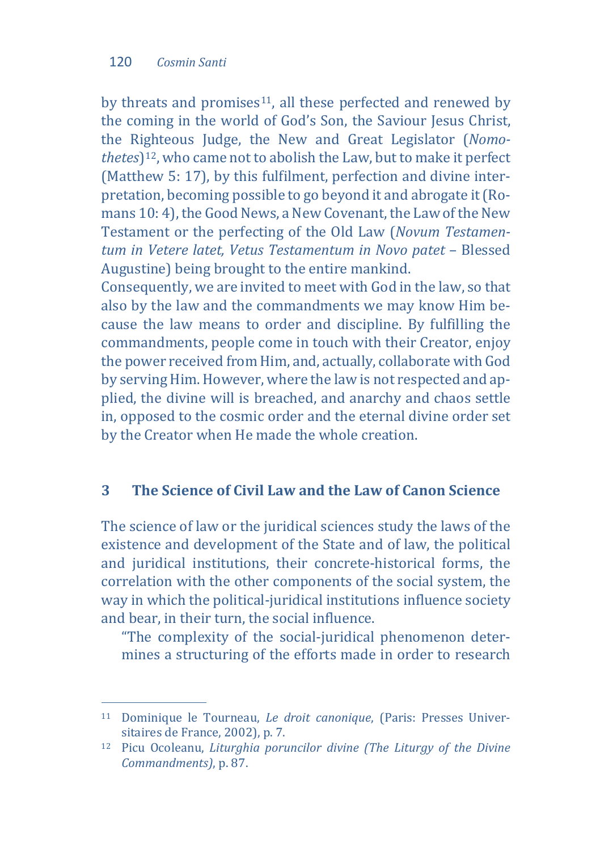by threats and promises<sup>[11](#page-6-0)</sup>, all these perfected and renewed by the coming in the world of God's Son, the Saviour Jesus Christ, the Righteous Judge, the New and Great Legislator (*Nomothetes*)[12,](#page-6-1) who came not to abolish the Law, but to make it perfect (Matthew 5: 17), by this fulfilment, perfection and divine interpretation, becoming possible to go beyond it and abrogate it (Romans 10: 4), the Good News, a New Covenant, the Law of the New Testament or the perfecting of the Old Law (*Novum Testamentum in Vetere latet, Vetus Testamentum in Novo patet* – Blessed Augustine) being brought to the entire mankind.

Consequently, we are invited to meet with God in the law, so that also by the law and the commandments we may know Him because the law means to order and discipline. By fulfilling the commandments, people come in touch with their Creator, enjoy the power received from Him, and, actually, collaborate with God by serving Him. However, where the law is not respected and applied, the divine will is breached, and anarchy and chaos settle in, opposed to the cosmic order and the eternal divine order set by the Creator when He made the whole creation.

### **3 The Science of Civil Law and the Law of Canon Science**

The science of law or the juridical sciences study the laws of the existence and development of the State and of law, the political and juridical institutions, their concrete-historical forms, the correlation with the other components of the social system, the way in which the political-juridical institutions influence society and bear, in their turn, the social influence.

"The complexity of the social-juridical phenomenon determines a structuring of the efforts made in order to research

<span id="page-6-0"></span>j <sup>11</sup> Dominique le Tourneau, *Le droit canonique*, (Paris: Presses Universitaires de France, 2002), p. 7.

<span id="page-6-1"></span><sup>12</sup> Picu Ocoleanu, *Liturghia poruncilor divine (The Liturgy of the Divine Commandments)*, p. 87.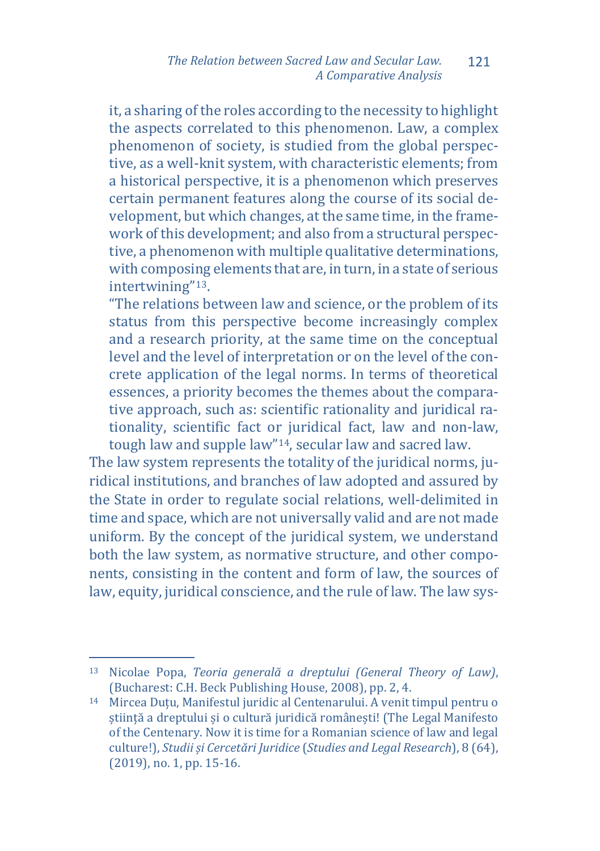it, a sharing of the roles according to the necessity to highlight the aspects correlated to this phenomenon. Law, a complex phenomenon of society, is studied from the global perspective, as a well-knit system, with characteristic elements; from a historical perspective, it is a phenomenon which preserves certain permanent features along the course of its social development, but which changes, at the same time, in the framework of this development; and also from a structural perspective, a phenomenon with multiple qualitative determinations, with composing elements that are, in turn, in a state of serious intertwining"[13.](#page-7-0)

"The relations between law and science, or the problem of its status from this perspective become increasingly complex and a research priority, at the same time on the conceptual level and the level of interpretation or on the level of the concrete application of the legal norms. In terms of theoretical essences, a priority becomes the themes about the comparative approach, such as: scientific rationality and juridical rationality, scientific fact or juridical fact, law and non-law, tough law and supple law"[14,](#page-7-1) secular law and sacred law.

The law system represents the totality of the juridical norms, juridical institutions, and branches of law adopted and assured by the State in order to regulate social relations, well-delimited in time and space, which are not universally valid and are not made uniform. By the concept of the juridical system, we understand both the law system, as normative structure, and other components, consisting in the content and form of law, the sources of law, equity, juridical conscience, and the rule of law. The law sys-

<span id="page-7-0"></span>j <sup>13</sup> Nicolae Popa, *Teoria generală a dreptului (General Theory of Law)*, (Bucharest: C.H. Beck Publishing House, 2008), pp. 2, 4.

<span id="page-7-1"></span><sup>14</sup> Mircea Duțu, Manifestul juridic al Centenarului. A venit timpul pentru o știință a dreptului și o cultură juridică românești! (The Legal Manifesto of the Centenary. Now it is time for a Romanian science of law and legal culture!), *Studii și Cercetări Juridice* (*Studies and Legal Research*), 8 (64), (2019), no. 1, pp. 15-16.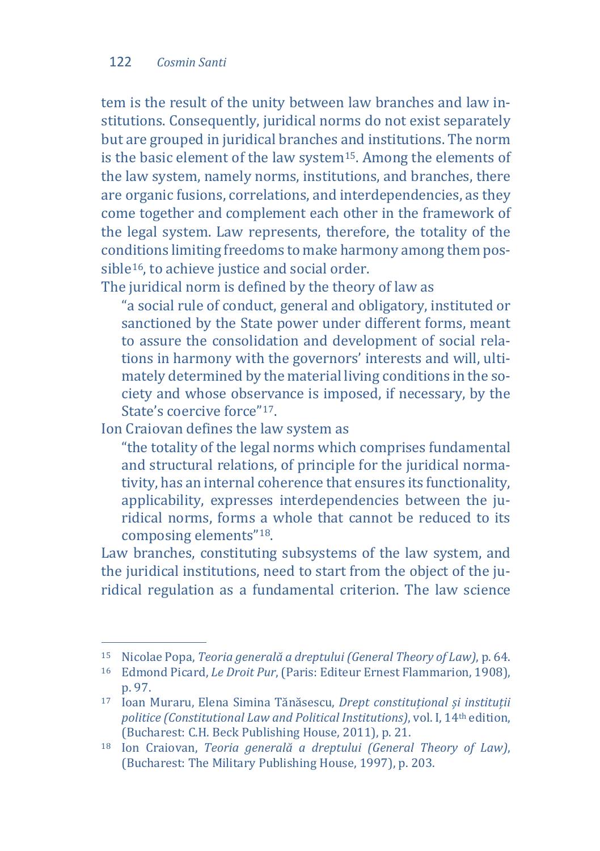tem is the result of the unity between law branches and law institutions. Consequently, juridical norms do not exist separately but are grouped in juridical branches and institutions. The norm is the basic element of the law syste[m15](#page-8-0). Among the elements of the law system, namely norms, institutions, and branches, there are organic fusions, correlations, and interdependencies, as they come together and complement each other in the framework of the legal system. Law represents, therefore, the totality of the conditions limiting freedoms to make harmony among them pos-sible<sup>[16](#page-8-1)</sup>, to achieve justice and social order.

The juridical norm is defined by the theory of law as

"a social rule of conduct, general and obligatory, instituted or sanctioned by the State power under different forms, meant to assure the consolidation and development of social relations in harmony with the governors' interests and will, ultimately determined by the material living conditions in the society and whose observance is imposed, if necessary, by the State's coercive force"<sup>17</sup>

Ion Craiovan defines the law system as

"the totality of the legal norms which comprises fundamental and structural relations, of principle for the juridical normativity, has an internal coherence that ensures its functionality, applicability, expresses interdependencies between the juridical norms, forms a whole that cannot be reduced to its composing elements"[18](#page-8-3).

Law branches, constituting subsystems of the law system, and the juridical institutions, need to start from the object of the juridical regulation as a fundamental criterion. The law science

<span id="page-8-0"></span>j <sup>15</sup> Nicolae Popa, *Teoria generală a dreptului (General Theory of Law)*, p. 64.

<span id="page-8-1"></span><sup>16</sup> Edmond Picard, *Le Droit Pur*, (Paris: Editeur Ernest Flammarion, 1908), p. 97.

<span id="page-8-2"></span><sup>17</sup> Ioan Muraru, Elena Simina Tănăsescu, *Drept constituțional și instituții politice (Constitutional Law and Political Institutions)*, vol. I, 14th edition, (Bucharest: C.H. Beck Publishing House, 2011), p. 21.

<span id="page-8-3"></span><sup>18</sup> Ion Craiovan, *Teoria generală a dreptului (General Theory of Law)*, (Bucharest: The Military Publishing House, 1997), p. 203.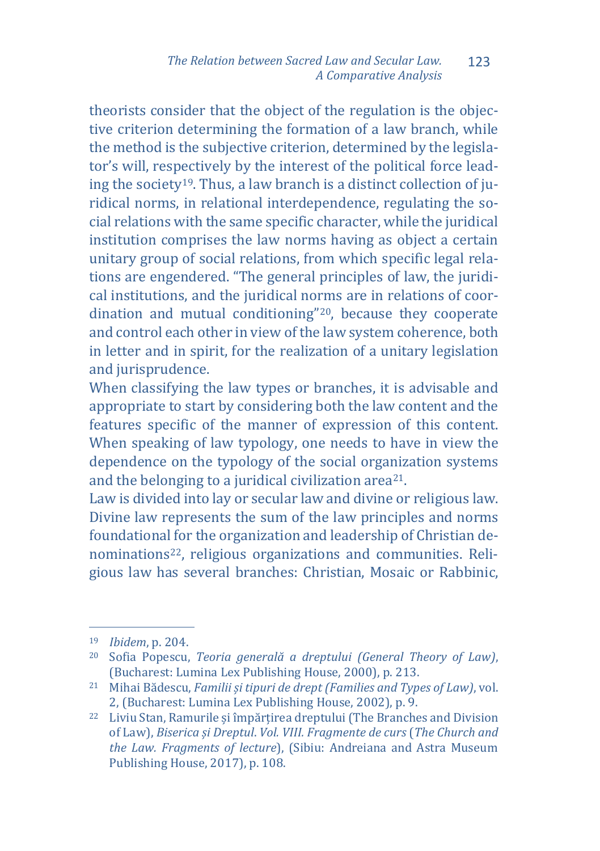theorists consider that the object of the regulation is the objective criterion determining the formation of a law branch, while the method is the subjective criterion, determined by the legislator's will, respectively by the interest of the political force leading the society[19](#page-9-0). Thus, a law branch is a distinct collection of juridical norms, in relational interdependence, regulating the social relations with the same specific character, while the juridical institution comprises the law norms having as object a certain unitary group of social relations, from which specific legal relations are engendered. "The general principles of law, the juridical institutions, and the juridical norms are in relations of coordination and mutual conditioning"[20,](#page-9-1) because they cooperate and control each other in view of the law system coherence, both in letter and in spirit, for the realization of a unitary legislation and jurisprudence.

When classifying the law types or branches, it is advisable and appropriate to start by considering both the law content and the features specific of the manner of expression of this content. When speaking of law typology, one needs to have in view the dependence on the typology of the social organization systems and the belonging to a juridical civilization area[21.](#page-9-2)

Law is divided into lay or secular law and divine or religious law. Divine law represents the sum of the law principles and norms foundational for the organization and leadership of Christian denomination[s22](#page-9-3), religious organizations and communities. Religious law has several branches: Christian, Mosaic or Rabbinic,

j <sup>19</sup> *Ibidem*, p. 204.

<span id="page-9-1"></span><span id="page-9-0"></span><sup>20</sup> Sofia Popescu, *Teoria generală a dreptului (General Theory of Law)*, (Bucharest: Lumina Lex Publishing House, 2000), p. 213.

<span id="page-9-2"></span><sup>21</sup> Mihai Bădescu, *Familii și tipuri de drept (Families and Types of Law)*, vol. 2, (Bucharest: Lumina Lex Publishing House, 2002), p. 9.

<span id="page-9-3"></span><sup>22</sup> Liviu Stan, Ramurile și împărțirea dreptului (The Branches and Division of Law), *Biserica și Dreptul*. *Vol. VIII. Fragmente de curs* (*The Church and the Law. Fragments of lecture*), (Sibiu: Andreiana and Astra Museum Publishing House, 2017), p. 108.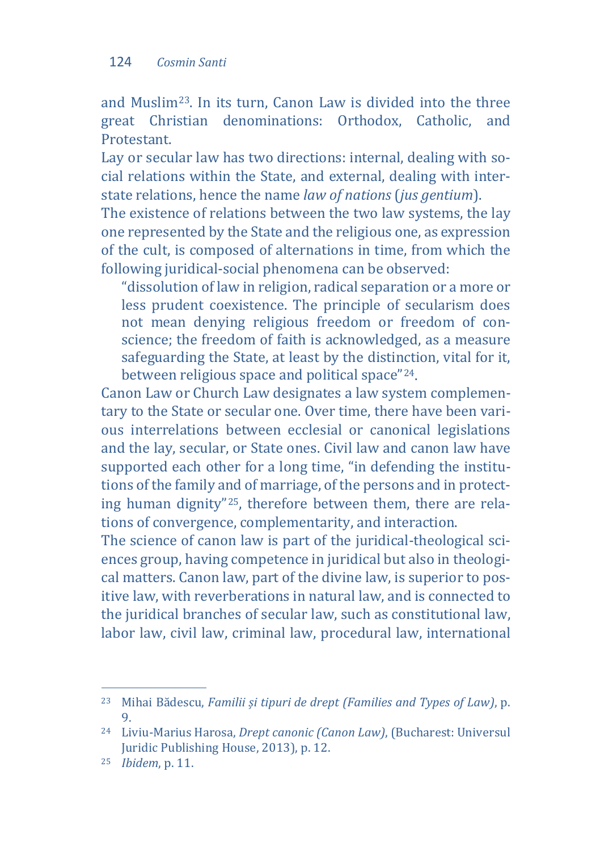and Muslim[23.](#page-10-0) In its turn, Canon Law is divided into the three great Christian denominations: Orthodox, Catholic, and Protestant.

Lay or secular law has two directions: internal, dealing with social relations within the State, and external, dealing with interstate relations, hence the name *law of nations* (*jus gentium*).

The existence of relations between the two law systems, the lay one represented by the State and the religious one, as expression of the cult, is composed of alternations in time, from which the following juridical-social phenomena can be observed:

"dissolution of law in religion, radical separation or a more or less prudent coexistence. The principle of secularism does not mean denying religious freedom or freedom of conscience; the freedom of faith is acknowledged, as a measure safeguarding the State, at least by the distinction, vital for it, between religious space and political space"[24](#page-10-1).

Canon Law or Church Law designates a law system complementary to the State or secular one. Over time, there have been various interrelations between ecclesial or canonical legislations and the lay, secular, or State ones. Civil law and canon law have supported each other for a long time, "in defending the institutions of the family and of marriage, of the persons and in protecting human dignity"[25](#page-10-2), therefore between them, there are relations of convergence, complementarity, and interaction.

The science of canon law is part of the juridical-theological sciences group, having competence in juridical but also in theological matters. Canon law, part of the divine law, is superior to positive law, with reverberations in natural law, and is connected to the juridical branches of secular law, such as constitutional law, labor law, civil law, criminal law, procedural law, international

<span id="page-10-0"></span>j <sup>23</sup> Mihai Bădescu, *Familii și tipuri de drept (Families and Types of Law)*, p. 9.

<span id="page-10-1"></span><sup>24</sup> Liviu-Marius Harosa, *Drept canonic (Canon Law)*, (Bucharest: Universul Juridic Publishing House, 2013), p. 12.

<span id="page-10-2"></span><sup>25</sup> *Ibidem*, p. 11.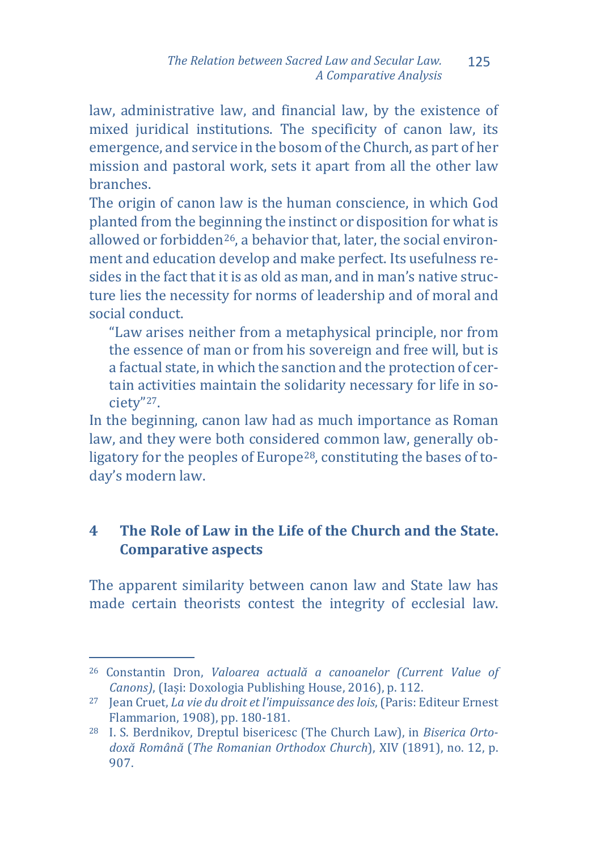law, administrative law, and financial law, by the existence of mixed juridical institutions. The specificity of canon law, its emergence, and service in the bosom of the Church, as part of her mission and pastoral work, sets it apart from all the other law branches.

The origin of canon law is the human conscience, in which God planted from the beginning the instinct or disposition for what is allowed or forbidden<sup>26</sup>, a behavior that, later, the social environment and education develop and make perfect. Its usefulness resides in the fact that it is as old as man, and in man's native structure lies the necessity for norms of leadership and of moral and social conduct.

"Law arises neither from a metaphysical principle, nor from the essence of man or from his sovereign and free will, but is a factual state, in which the sanction and the protection of certain activities maintain the solidarity necessary for life in society["27](#page-11-1).

In the beginning, canon law had as much importance as Roman law, and they were both considered common law, generally obligatory for the peoples of Europe<sup>28</sup>, constituting the bases of today's modern law.

# **4 The Role of Law in the Life of the Church and the State. Comparative aspects**

The apparent similarity between canon law and State law has made certain theorists contest the integrity of ecclesial law.

<span id="page-11-0"></span>j <sup>26</sup> Constantin Dron, *Valoarea actuală a canoanelor (Current Value of Canons)*, (Iași: Doxologia Publishing House, 2016), p. 112.

<span id="page-11-1"></span><sup>27</sup> Jean Cruet, *La vie du droit et l'impuissance des lois*, (Paris: Editeur Ernest Flammarion, 1908), pp. 180-181.

<span id="page-11-2"></span><sup>28</sup> I. S. Berdnikov, Dreptul bisericesc (The Church Law), in *Biserica Ortodoxă Română* (*The Romanian Orthodox Church*), XIV (1891), no. 12, p. 907.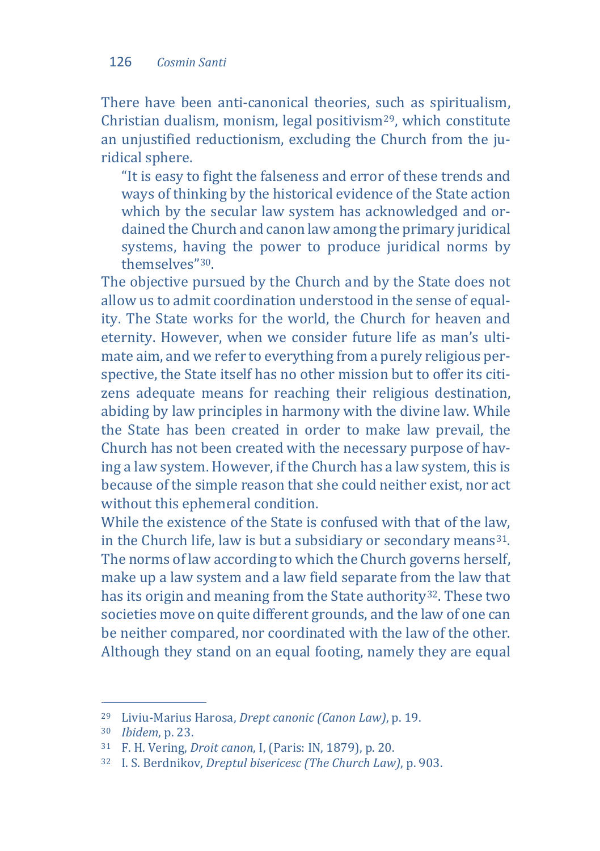There have been anti-canonical theories, such as spiritualism, Christian dualism, monism, legal positivism[29](#page-12-0), which constitute an unjustified reductionism, excluding the Church from the juridical sphere.

"It is easy to fight the falseness and error of these trends and ways of thinking by the historical evidence of the State action which by the secular law system has acknowledged and ordained the Church and canon law among the primary juridical systems, having the power to produce juridical norms by themselves"[30.](#page-12-1)

The objective pursued by the Church and by the State does not allow us to admit coordination understood in the sense of equality. The State works for the world, the Church for heaven and eternity. However, when we consider future life as man's ultimate aim, and we refer to everything from a purely religious perspective, the State itself has no other mission but to offer its citizens adequate means for reaching their religious destination, abiding by law principles in harmony with the divine law. While the State has been created in order to make law prevail, the Church has not been created with the necessary purpose of having a law system. However, if the Church has a law system, this is because of the simple reason that she could neither exist, nor act without this ephemeral condition.

While the existence of the State is confused with that of the law, in the Church life, law is but a subsidiary or secondary means<sup>31</sup>. The norms of law according to which the Church governs herself, make up a law system and a law field separate from the law that has its origin and meaning from the State authority<sup>32</sup>. These two societies move on quite different grounds, and the law of one can be neither compared, nor coordinated with the law of the other. Although they stand on an equal footing, namely they are equal

j <sup>29</sup> Liviu-Marius Harosa, *Drept canonic (Canon Law)*, p. 19.

<span id="page-12-1"></span><span id="page-12-0"></span><sup>30</sup> *Ibidem*, p. 23.

<span id="page-12-2"></span><sup>31</sup> F. H. Vering, *Droit canon*, I, (Paris: IN, 1879), p. 20.

<span id="page-12-3"></span><sup>32</sup> I. S. Berdnikov, *Dreptul bisericesc (The Church Law)*, p. 903.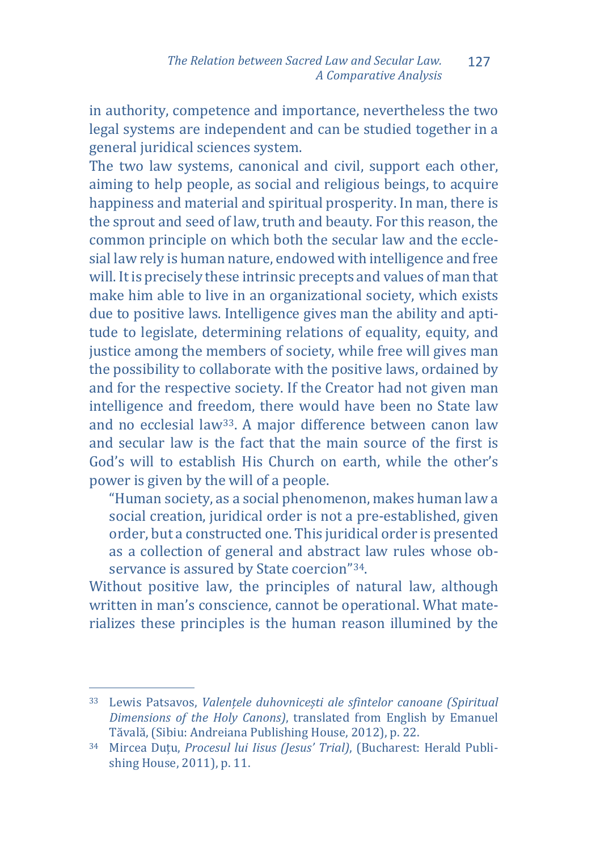in authority, competence and importance, nevertheless the two legal systems are independent and can be studied together in a general juridical sciences system.

The two law systems, canonical and civil, support each other, aiming to help people, as social and religious beings, to acquire happiness and material and spiritual prosperity. In man, there is the sprout and seed of law, truth and beauty. For this reason, the common principle on which both the secular law and the ecclesial law rely is human nature, endowed with intelligence and free will. It is precisely these intrinsic precepts and values of man that make him able to live in an organizational society, which exists due to positive laws. Intelligence gives man the ability and aptitude to legislate, determining relations of equality, equity, and justice among the members of society, while free will gives man the possibility to collaborate with the positive laws, ordained by and for the respective society. If the Creator had not given man intelligence and freedom, there would have been no State law and no ecclesial law[33.](#page-13-0) A major difference between canon law and secular law is the fact that the main source of the first is God's will to establish His Church on earth, while the other's power is given by the will of a people.

"Human society, as a social phenomenon, makes human law a social creation, juridical order is not a pre-established, given order, but a constructed one. This juridical order is presented as a collection of general and abstract law rules whose observance is assured by State coercion["34](#page-13-1).

Without positive law, the principles of natural law, although written in man's conscience, cannot be operational. What materializes these principles is the human reason illumined by the

<span id="page-13-0"></span>j <sup>33</sup> Lewis Patsavos, *Valențele duhovnicești ale sfintelor canoane (Spiritual Dimensions of the Holy Canons)*, translated from English by Emanuel

<span id="page-13-1"></span><sup>&</sup>lt;sup>34</sup> Mircea Duțu, Procesul lui Iisus (Jesus' Trial), (Bucharest: Herald Publishing House, 2011), p. 11.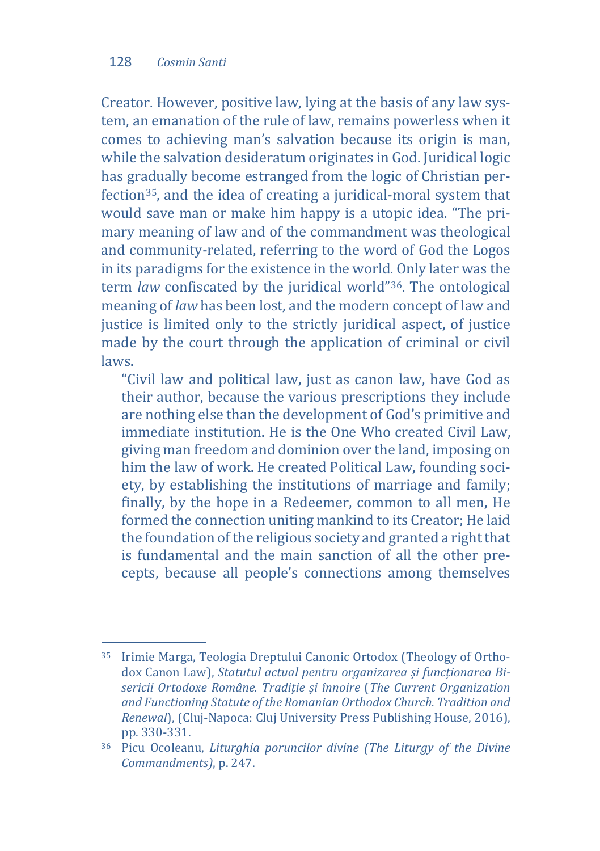Creator. However, positive law, lying at the basis of any law system, an emanation of the rule of law, remains powerless when it comes to achieving man's salvation because its origin is man, while the salvation desideratum originates in God. Juridical logic has gradually become estranged from the logic of Christian perfection[35,](#page-14-0) and the idea of creating a juridical-moral system that would save man or make him happy is a utopic idea. "The primary meaning of law and of the commandment was theological and community-related, referring to the word of God the Logos in its paradigms for the existence in the world. Only later was the term *law* confiscated by the juridical world"[36](#page-14-1). The ontological meaning of *law* has been lost, and the modern concept of law and justice is limited only to the strictly juridical aspect, of justice made by the court through the application of criminal or civil laws.

"Civil law and political law, just as canon law, have God as their author, because the various prescriptions they include are nothing else than the development of God's primitive and immediate institution. He is the One Who created Civil Law, giving man freedom and dominion over the land, imposing on him the law of work. He created Political Law, founding society, by establishing the institutions of marriage and family; finally, by the hope in a Redeemer, common to all men, He formed the connection uniting mankind to its Creator; He laid the foundation of the religious society and granted a right that is fundamental and the main sanction of all the other precepts, because all people's connections among themselves

<span id="page-14-0"></span>j <sup>35</sup> Irimie Marga, Teologia Dreptului Canonic Ortodox (Theology of Orthodox Canon Law), *Statutul actual pentru organizarea și funcționarea Bisericii Ortodoxe Române. Tradiție și înnoire* (*The Current Organization and Functioning Statute of the Romanian Orthodox Church. Tradition and Renewal*), (Cluj-Napoca: Cluj University Press Publishing House, 2016), pp. 330-331.

<span id="page-14-1"></span><sup>36</sup> Picu Ocoleanu, *Liturghia poruncilor divine (The Liturgy of the Divine Commandments)*, p. 247.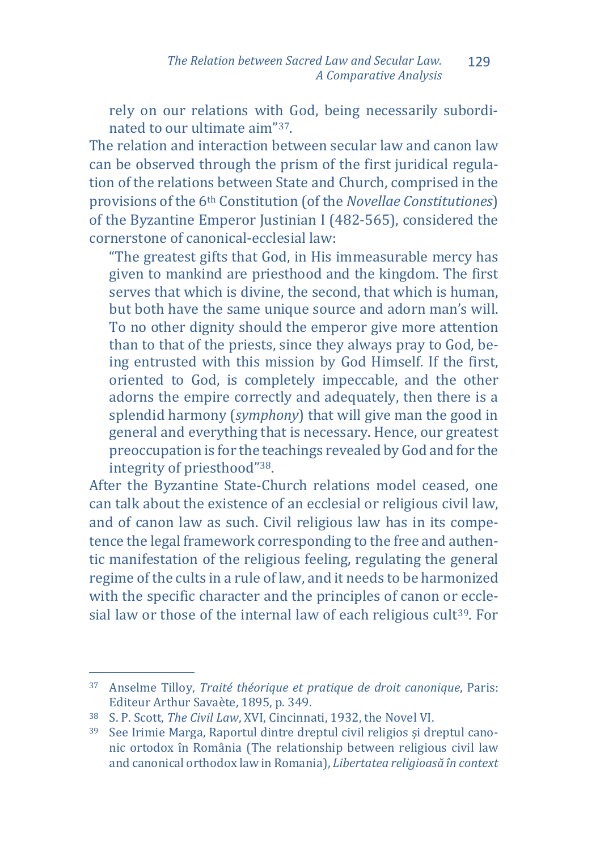rely on our relations with God, being necessarily subordinated to our ultimate aim"[37.](#page-15-0)

The relation and interaction between secular law and canon law can be observed through the prism of the first juridical regulation of the relations between State and Church, comprised in the provisions of the 6th Constitution (of the *Novellae Constitutiones*) of the Byzantine Emperor Justinian I (482-565), considered the cornerstone of canonical-ecclesial law:

"The greatest gifts that God, in His immeasurable mercy has given to mankind are priesthood and the kingdom. The first serves that which is divine, the second, that which is human, but both have the same unique source and adorn man's will. To no other dignity should the emperor give more attention than to that of the priests, since they always pray to God, being entrusted with this mission by God Himself. If the first, oriented to God, is completely impeccable, and the other adorns the empire correctly and adequately, then there is a splendid harmony (*symphony*) that will give man the good in general and everything that is necessary. Hence, our greatest preoccupation is for the teachings revealed by God and for the integrity of priesthood"[38.](#page-15-1)

After the Byzantine State-Church relations model ceased, one can talk about the existence of an ecclesial or religious civil law, and of canon law as such. Civil religious law has in its competence the legal framework corresponding to the free and authentic manifestation of the religious feeling, regulating the general regime of the cults in a rule of law, and it needs to be harmonized with the specific character and the principles of canon or eccle-sial law or those of the internal law of each religious cult<sup>[39](#page-15-2)</sup>. For

<span id="page-15-0"></span>j <sup>37</sup> Anselme Tilloy, *Traité théorique et pratique de droit canonique*, Paris: Editeur Arthur Savaète, 1895, p. 349.

<span id="page-15-1"></span><sup>38</sup> S. P. Scott, *The Civil Law*, XVI, Cincinnati, 1932, the Novel VI.

<span id="page-15-2"></span><sup>39</sup> See Irimie Marga, Raportul dintre dreptul civil religios şi dreptul canonic ortodox în România (The relationship between religious civil law and canonical orthodox law in Romania), *Libertatea religioasă în context*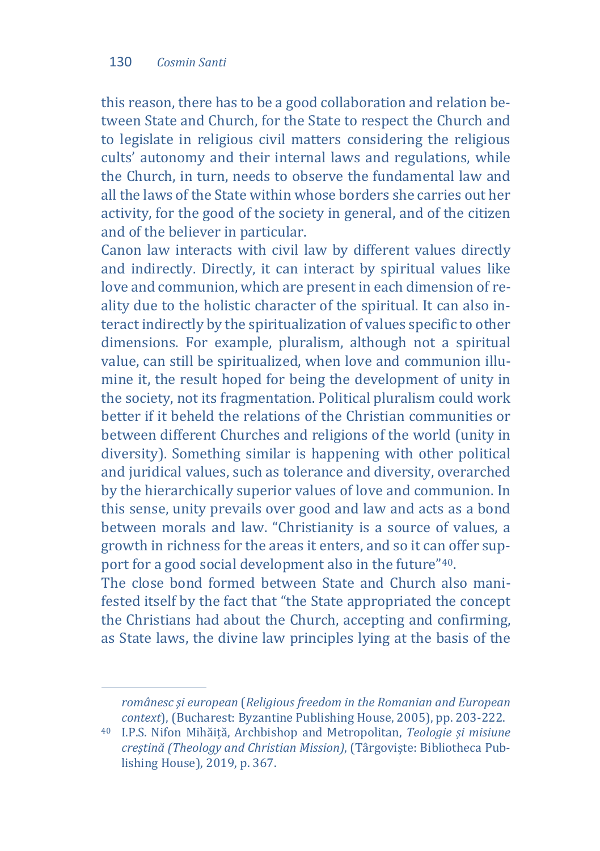j

this reason, there has to be a good collaboration and relation between State and Church, for the State to respect the Church and to legislate in religious civil matters considering the religious cults' autonomy and their internal laws and regulations, while the Church, in turn, needs to observe the fundamental law and all the laws of the State within whose borders she carries out her activity, for the good of the society in general, and of the citizen and of the believer in particular.

Canon law interacts with civil law by different values directly and indirectly. Directly, it can interact by spiritual values like love and communion, which are present in each dimension of reality due to the holistic character of the spiritual. It can also interact indirectly by the spiritualization of values specific to other dimensions. For example, pluralism, although not a spiritual value, can still be spiritualized, when love and communion illumine it, the result hoped for being the development of unity in the society, not its fragmentation. Political pluralism could work better if it beheld the relations of the Christian communities or between different Churches and religions of the world (unity in diversity). Something similar is happening with other political and juridical values, such as tolerance and diversity, overarched by the hierarchically superior values of love and communion. In this sense, unity prevails over good and law and acts as a bond between morals and law. "Christianity is a source of values, a growth in richness for the areas it enters, and so it can offer support for a good social development also in the future["40](#page-16-0).

The close bond formed between State and Church also manifested itself by the fact that "the State appropriated the concept the Christians had about the Church, accepting and confirming, as State laws, the divine law principles lying at the basis of the

*românesc şi european* (*Religious freedom in the Romanian and European context*), (Bucharest: Byzantine Publishing House, 2005), pp. 203-222.

<span id="page-16-0"></span><sup>40</sup> I.P.S. Nifon Mihăiță, Archbishop and Metropolitan, *Teologie și misiune creștină (Theology and Christian Mission)*, (Târgoviște: Bibliotheca Publishing House), 2019, p. 367.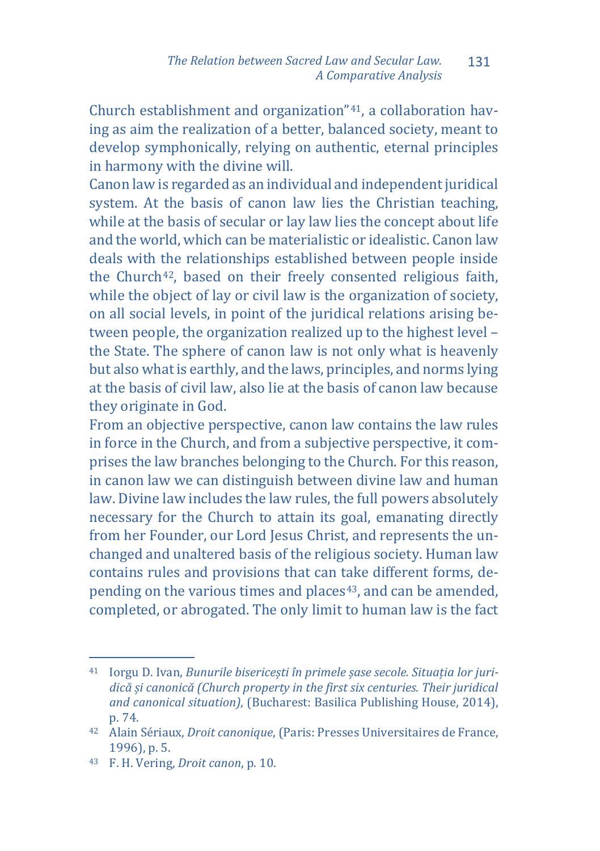Church establishment and organization"[41,](#page-17-0) a collaboration having as aim the realization of a better, balanced society, meant to develop symphonically, relying on authentic, eternal principles in harmony with the divine will.

Canon law is regarded as an individual and independent juridical system. At the basis of canon law lies the Christian teaching, while at the basis of secular or lay law lies the concept about life and the world, which can be materialistic or idealistic. Canon law deals with the relationships established between people inside the Church<sup>42</sup>, based on their freely consented religious faith, while the object of lay or civil law is the organization of society, on all social levels, in point of the juridical relations arising between people, the organization realized up to the highest level – the State. The sphere of canon law is not only what is heavenly but also what is earthly, and the laws, principles, and norms lying at the basis of civil law, also lie at the basis of canon law because they originate in God.

From an objective perspective, canon law contains the law rules in force in the Church, and from a subjective perspective, it comprises the law branches belonging to the Church. For this reason, in canon law we can distinguish between divine law and human law. Divine law includes the law rules, the full powers absolutely necessary for the Church to attain its goal, emanating directly from her Founder, our Lord Jesus Christ, and represents the unchanged and unaltered basis of the religious society. Human law contains rules and provisions that can take different forms, de-pending on the various times and places<sup>[43](#page-17-2)</sup>, and can be amended, completed, or abrogated. The only limit to human law is the fact

<span id="page-17-0"></span>j <sup>41</sup> Iorgu D. Ivan, *Bunurile bisericești în primele șase secole. Situația lor juridică și canonică (Church property in the first six centuries. Their juridical and canonical situation)*, (Bucharest: Basilica Publishing House, 2014), p. 74.

<span id="page-17-1"></span><sup>42</sup> Alain Sériaux, *Droit canonique*, (Paris: Presses Universitaires de France, 1996), p. 5.

<span id="page-17-2"></span><sup>43</sup> F. H. Vering, *Droit canon*, p. 10.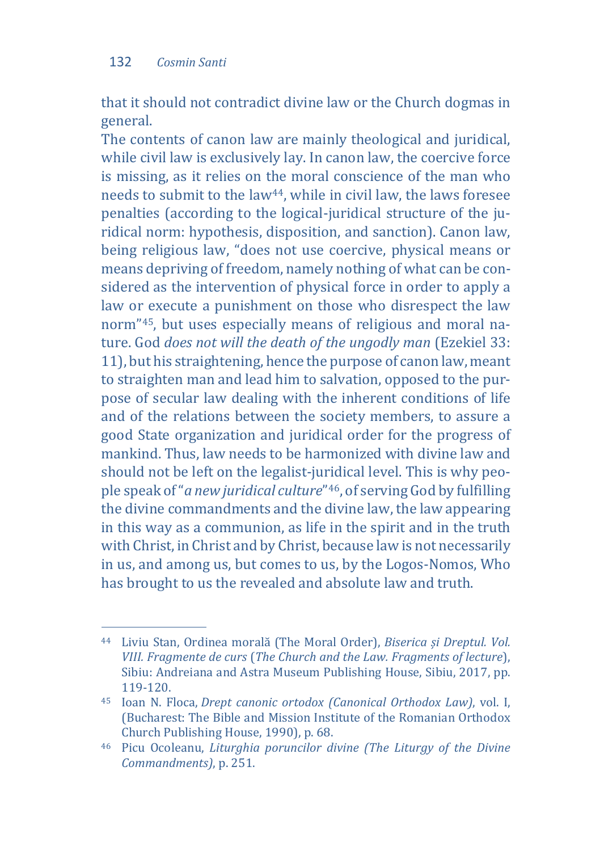that it should not contradict divine law or the Church dogmas in general.

The contents of canon law are mainly theological and juridical, while civil law is exclusively lay. In canon law, the coercive force is missing, as it relies on the moral conscience of the man who needs to submit to the law[44](#page-18-0), while in civil law, the laws foresee penalties (according to the logical-juridical structure of the juridical norm: hypothesis, disposition, and sanction). Canon law, being religious law, "does not use coercive, physical means or means depriving of freedom, namely nothing of what can be considered as the intervention of physical force in order to apply a law or execute a punishment on those who disrespect the law norm"[45,](#page-18-1) but uses especially means of religious and moral nature. God *does not will the death of the ungodly man* (Ezekiel 33: 11), but his straightening, hence the purpose of canon law, meant to straighten man and lead him to salvation, opposed to the purpose of secular law dealing with the inherent conditions of life and of the relations between the society members, to assure a good State organization and juridical order for the progress of mankind. Thus, law needs to be harmonized with divine law and should not be left on the legalist-juridical level. This is why people speak of "*a new juridical culture*"[46,](#page-18-2) of serving God by fulfilling the divine commandments and the divine law, the law appearing in this way as a communion, as life in the spirit and in the truth with Christ, in Christ and by Christ, because law is not necessarily in us, and among us, but comes to us, by the Logos-Nomos, Who has brought to us the revealed and absolute law and truth.

<span id="page-18-0"></span>j <sup>44</sup> Liviu Stan, Ordinea morală (The Moral Order), *Biserica și Dreptul. Vol. VIII. Fragmente de curs* (*The Church and the Law. Fragments of lecture*), Sibiu: Andreiana and Astra Museum Publishing House, Sibiu, 2017, pp.

<span id="page-18-1"></span><sup>&</sup>lt;sup>45</sup> Ioan N. Floca, *Drept canonic ortodox (Canonical Orthodox Law)*, vol. I, (Bucharest: The Bible and Mission Institute of the Romanian Orthodox Church Publishing House, 1990), p. 68.

<span id="page-18-2"></span><sup>46</sup> Picu Ocoleanu, *Liturghia poruncilor divine (The Liturgy of the Divine Commandments)*, p. 251.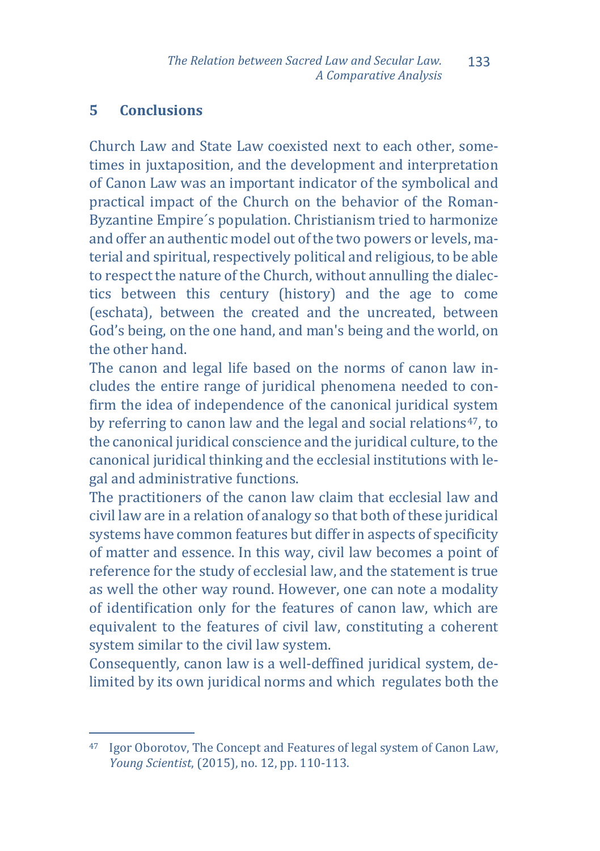# **5 Conclusions**

Church Law and State Law coexisted next to each other, sometimes in juxtaposition, and the development and interpretation of Canon Law was an important indicator of the symbolical and practical impact of the Church on the behavior of the Roman-Byzantine Empire´s population. Christianism tried to harmonize and offer an authentic model out of the two powers or levels, material and spiritual, respectively political and religious, to be able to respect the nature of the Church, without annulling the dialectics between this century (history) and the age to come (eschata), between the created and the uncreated, between God's being, on the one hand, and man's being and the world, on the other hand.

The canon and legal life based on the norms of canon law includes the entire range of juridical phenomena needed to confirm the idea of independence of the canonical juridical system by referring to canon law and the legal and social relations[47,](#page-19-0) to the canonical juridical conscience and the juridical culture, to the canonical juridical thinking and the ecclesial institutions with legal and administrative functions.

The practitioners of the canon law claim that ecclesial law and civil law are in a relation of analogy so that both of these juridical systems have common features but differ in aspects of specificity of matter and essence. In this way, civil law becomes a point of reference for the study of ecclesial law, and the statement is true as well the other way round. However, one can note a modality of identification only for the features of canon law, which are equivalent to the features of civil law, constituting a coherent system similar to the civil law system.

Consequently, canon law is a well-deffined juridical system, delimited by its own juridical norms and which regulates both the

<span id="page-19-0"></span>j <sup>47</sup> Igor Oborotov, The Concept and Features of legal system of Canon Law, *Young Scientist*, (2015), no. 12, pp. 110-113.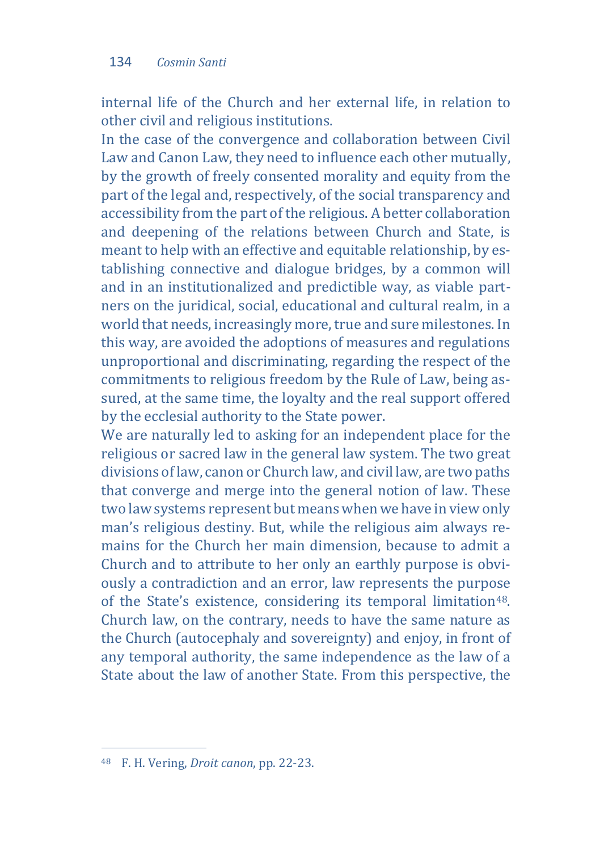internal life of the Church and her external life, in relation to other civil and religious institutions.

In the case of the convergence and collaboration between Civil Law and Canon Law, they need to influence each other mutually, by the growth of freely consented morality and equity from the part of the legal and, respectively, of the social transparency and accessibility from the part of the religious. A better collaboration and deepening of the relations between Church and State, is meant to help with an effective and equitable relationship, by establishing connective and dialogue bridges, by a common will and in an institutionalized and predictible way, as viable partners on the juridical, social, educational and cultural realm, in a world that needs, increasingly more, true and sure milestones. In this way, are avoided the adoptions of measures and regulations unproportional and discriminating, regarding the respect of the commitments to religious freedom by the Rule of Law, being assured, at the same time, the loyalty and the real support offered by the ecclesial authority to the State power.

We are naturally led to asking for an independent place for the religious or sacred law in the general law system. The two great divisions of law, canon or Church law, and civil law, are two paths that converge and merge into the general notion of law. These two law systems represent but means when we have in view only man's religious destiny. But, while the religious aim always remains for the Church her main dimension, because to admit a Church and to attribute to her only an earthly purpose is obviously a contradiction and an error, law represents the purpose of the State's existence, considering its temporal limitation<sup>48</sup>. Church law, on the contrary, needs to have the same nature as the Church (autocephaly and sovereignty) and enjoy, in front of any temporal authority, the same independence as the law of a State about the law of another State. From this perspective, the

<span id="page-20-0"></span>j <sup>48</sup> F. H. Vering, *Droit canon*, pp. 22-23.